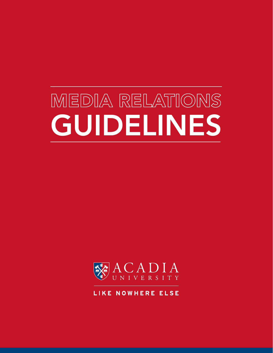# MEDIA RELATIONS GUIDELINES



LIKE NOWHERE ELSE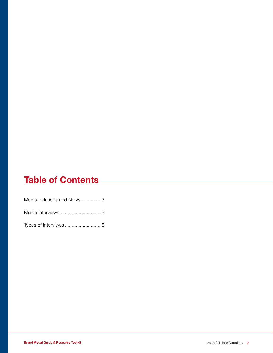# Table of Contents **Contents**

| Media Relations and News3 |  |
|---------------------------|--|
|                           |  |
|                           |  |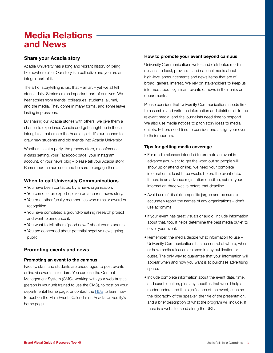# Media Relations and News

### Share your Acadia story

Acadia University has a long and vibrant history of being like nowhere else. Our story is a collective and you are an integral part of it.

The art of storytelling is just that  $-$  an art  $-$  yet we all tell stories daily. Stories are an important part of our lives. We hear stories from friends, colleagues, students, alumni, and the media. They come in many forms, and some leave lasting impressions.

By sharing our Acadia stories with others, we give them a chance to experience Acadia and get caught up in those intangibles that create the Acadia spirit. It's our chance to draw new students and old friends into Acadia University.

Whether it is at a party, the grocery store, a conference, a class setting, your Facebook page, your Instagram account, or your news blog – please tell your Acadia story. Remember the audience and be sure to engage them.

## When to call University Communications

- You have been contacted by a news organization.
- You can offer an expert opinion on a current news story.
- You or another faculty member has won a major award or recognition.
- You have completed a ground-breaking research project and want to announce it.
- You want to tell others "good news" about your students.
- You are concerned about potential negative news going public.

## Promoting events and news

#### Promoting an event to the campus

Faculty, staff, and students are encouraged to post events online via events calendars. You can use the Content Management System (CMS), working with your web trustee (person in your unit trained to use the CMS), to post on your departmental home page, or contact the **HUB** to learn how to post on the Main Events Calendar on Acadia University's home page.

### How to promote your event beyond campus

University Communications writes and distributes media releases to local, provincial, and national media about high-level announcements and news items that are of broad, general interest. We rely on stakeholders to keep us informed about significant events or news in their units or departments.

Please consider that University Communications needs time to assemble and write the information and distribute it to the relevant media, and the journalists need time to respond. We also use media notices to pitch story ideas to media outlets. Editors need time to consider and assign your event to their reporters.

### Tips for getting media coverage

- For media releases intended to promote an event in advance (you want to get the word out so people will show up or attend online), we need your complete information at least three weeks before the event date. If there is an advance registration deadline, submit your information three weeks before that deadline.
- Avoid use of discipline-specific jargon and be sure to accurately report the names of any organizations – don't use acronyms.
- If your event has great visuals or audio, include information about that, too. It helps determine the best media outlet to cover your event.
- Remember, the media decide what information to use University Communications has no control of where, when, or how media releases are used in any publication or outlet. The only way to guarantee that your information will appear when and how you want is to purchase advertising space.
- Include complete information about the event date, time, and exact location, plus any specifics that would help a reader understand the significance of the event, such as the biography of the speaker, the title of the presentation, and a brief description of what the program will include. If there is a website, send along the URL.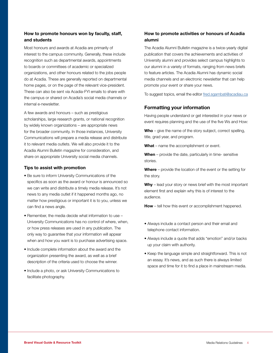### How to promote honours won by faculty, staff, and students

Most honours and awards at Acadia are primarily of interest to the campus community. Generally, these include recognition such as departmental awards, appointments to boards or committees of academic or specialized organizations, and other honours related to the jobs people do at Acadia. These are generally reported on departmental home pages, or on the page of the relevant vice-president. These can also be sent via Acadia-FYI emails to share with the campus or shared on Acadia's social media channels or internal e-newsletter.

A few awards and honours – such as prestigious scholarships, large research grants, or national recognition by widely known organizations – are appropriate news for the broader community. In those instances, University Communications will prepare a media release and distribute it to relevant media outlets. We will also provide it to the Acadia Alumni Bulletin magazine for consideration, and share on appropriate University social media channels.

#### Tips to assist with promotion

- Be sure to inform University Communications of the specifics as soon as the award or honour is announced so we can write and distribute a timely media release. It's not news to any media outlet if it happened months ago, no matter how prestigious or important it is to you, unless we can find a news angle.
- Remember, the media decide what information to use University Communications has no control of where, when, or how press releases are used in any publication. The only way to guarantee that your information will appear when and how you want is to purchase advertising space.
- Include complete information about the award and the organization presenting the award, as well as a brief description of the criteria used to choose the winner.
- Include a photo, or ask University Communications to facilitate photography.

### How to promote activities or honours of Acadia alumni

The Acadia Alumni Bulletin magazine is a twice-yearly digital publication that covers the achievements and activities of University alumni and provides select campus highlights to our alumni in a variety of formats, ranging from news briefs to feature articles. The Acadia Alumni has dynamic social media channels and an electronic newsletter that can help promote your event or share your news.

To suggest topics, email the editor [fred.sgambati@acadiau.ca](mailto:fred.sgambati%40acadiau.ca?subject=Acadia%20Alumni%20Topic%20Suggestion)

# Formatting your information

Having people understand or get interested in your news or event requires planning and the use of the five Ws and How:

**Who** – give the name of the story subject, correct spelling, title, grad year, and program.

What – name the accomplishment or event.

When - provide the date, particularly in time- sensitive stories.

Where – provide the location of the event or the setting for the story.

Why – lead your story or news brief with the most important element first and explain why this is of interest to the audience.

**How** – tell how this event or accomplishment happened.

- Always include a contact person and their email and telephone contact information.
- Always include a quote that adds "emotion" and/or backs up your claim with authority.
- Keep the language simple and straightforward. This is not an essay. It's news, and as such there is always limited space and time for it to find a place in mainstream media.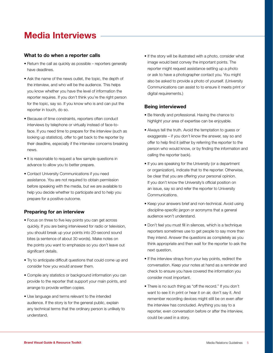# Media Interviews

### What to do when a reporter calls

- Return the call as quickly as possible reporters generally have deadlines.
- Ask the name of the news outlet, the topic, the depth of the interview, and who will be the audience. This helps you know whether you have the level of information the reporter requires. If you don't think you're the right person for the topic, say so. If you know who is and can put the reporter in touch, do so.
- Because of time constraints, reporters often conduct interviews by telephone or virtually instead of face-toface. If you need time to prepare for the interview (such as looking up statistics), offer to get back to the reporter by their deadline, especially if the interview concerns breaking news.
- It is reasonable to request a few sample questions in advance to allow you to better prepare.
- Contact University Communications if you need assistance. You are not required to obtain permission before speaking with the media, but we are available to help you decide whether to participate and to help you prepare for a positive outcome.

### Preparing for an interview

- Focus on three to five key points you can get across quickly. If you are being interviewed for radio or television, you should break up your points into 20-second sound bites (a sentence of about 30 words). Make notes on the points you want to emphasize so you don't leave out significant details.
- Try to anticipate difficult questions that could come up and consider how you would answer them.
- Compile any statistics or background information you can provide to the reporter that support your main points, and arrange to provide written copies.
- Use language and terms relevant to the intended audience. If the story is for the general public, explain any technical terms that the ordinary person is unlikely to understand.

• If the story will be illustrated with a photo, consider what image would best convey the important points. The reporter might request assistance setting up a photo or ask to have a photographer contact you. You might also be asked to provide a photo of yourself. (University Communications can assist to to ensure it meets print or digital requirements.)

### Being interviewed

- Be friendly and professional. Having the chance to highlight your area of expertise can be enjoyable.
- Always tell the truth. Avoid the temptation to guess or exaggerate – if you don't know the answer, say so and offer to help find it (either by referring the reporter to the person who would know, or by finding the information and calling the reporter back).
- If you are speaking for the University (or a department or organization), indicate that to the reporter. Otherwise, be clear that you are offering your personal opinion. If you don't know the University's official position on an issue, say so and refer the reporter to University Communications.
- Keep your answers brief and non-technical. Avoid using discipline-specific jargon or acronyms that a general audience won't understand.
- Don't feel you must fill in silences, which is a technique reporters sometimes use to get people to say more than they intend. Answer the questions as completely as you think appropriate and then wait for the reporter to ask the next question.
- If the interview strays from your key points, redirect the conversation. Keep your notes at hand as a reminder and check to ensure you have covered the information you consider most important.
- There is no such thing as "off the record." If you don't want to see it in print or hear it on air, don't say it. And remember recording devices might still be on even after the interview has concluded. Anything you say to a reporter, even conversation before or after the interview, could be used in a story.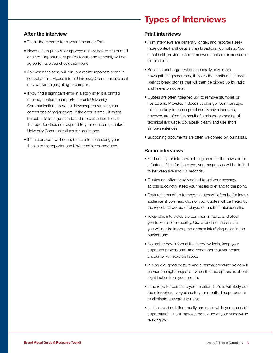# Types of Interviews

### After the interview

- Thank the reporter for his/her time and effort.
- Never ask to preview or approve a story before it is printed or aired. Reporters are professionals and generally will not agree to have you check their work.
- Ask when the story will run, but realize reporters aren't in control of this. Please inform University Communications; it may warrant highlighting to campus.
- If you find a significant error in a story after it is printed or aired, contact the reporter, or ask University Communications to do so. Newspapers routinely run corrections of major errors. If the error is small, it might be better to let it go than to call more attention to it. If the reporter does not respond to your concerns, contact University Communications for assistance.
- If the story was well done, be sure to send along your thanks to the reporter and his/her editor or producer.

### Print interviews

- Print interviews are generally longer, and reporters seek more context and details than broadcast journalists. You should still provide succinct answers that are expressed in simple terms.
- Because print organizations generally have more newsgathering resources, they are the media outlet most likely to break stories that will then be picked up by radio and television outlets.
- Quotes are often "cleaned up" to remove stumbles or hesitations. Provided it does not change your message, this is unlikely to cause problems. Many misquotes, however, are often the result of a misunderstanding of technical language. So, speak clearly and use short, simple sentences.
- Supporting documents are often welcomed by journalists.

### Radio interviews

- Find out if your interview is being used for the news or for a feature. If it is for the news, your responses will be limited to between five and 10 seconds.
- Quotes are often heavily edited to get your message across succinctly. Keep your replies brief and to the point.
- Feature items of up to three minutes will often be for larger audience shows, and clips of your quotes will be linked by the reporter's words, or played off another interview clip.
- Telephone interviews are common in radio, and allow you to keep notes nearby. Use a landline and ensure you will not be interrupted or have interfering noise in the background.
- No matter how informal the interview feels, keep your approach professional, and remember that your entire encounter will likely be taped.
- In a studio, good posture and a normal speaking voice will provide the right projection when the microphone is about eight inches from your mouth.
- If the reporter comes to your location, he/she will likely put the microphone very close to your mouth. The purpose is to eliminate background noise.
- In all scenarios, talk normally and smile while you speak (if appropriate) – it will improve the texture of your voice while relaxing you.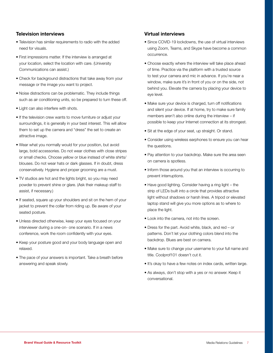### Television interviews

- Television has similar requirements to radio with the added need for visuals.
- First impressions matter. If the interview is arranged at your location, select the location with care. (University Communications can assist.)
- Check for background distractions that take away from your message or the image you want to project.
- Noise distractions can be problematic. They include things such as air conditioning units, so be prepared to turn these off.
- Light can also interfere with shots.
- If the television crew wants to move furniture or adjust your surroundings, it is generally in your best interest. This will allow them to set up the camera and "dress" the set to create an attractive image.
- Wear what you normally would for your position, but avoid large, bold accessories. Do not wear clothes with close stripes or small checks. Choose yellow or blue instead of white shirts/ blouses. Do not wear hats or dark glasses. If in doubt, dress conservatively. Hygiene and proper grooming are a must.
- TV studios are hot and the lights bright, so you may need powder to prevent shine or glare. (Ask their makeup staff to assist, if necessary.)
- If seated, square up your shoulders and sit on the hem of your jacket to prevent the collar from riding up. Be aware of your seated posture.
- Unless directed otherwise, keep your eyes focused on your interviewer during a one-on- one scenario. If in a news conference, work the room confidently with your eyes.
- Keep your posture good and your body language open and relaxed.
- The pace of your answers is important. Take a breath before answering and speak slowly.

### Virtual interviews

- Since COVID-19 lockdowns, the use of virtual interviews using Zoom, Teams, and Skype have become a common occurrence.
- Choose exactly where the interview will take place ahead of time. Practice via the platform with a trusted source to test your camera and mic in advance. If you're near a window, make sure it's in front of you or on the side, not behind you. Elevate the camera by placing your device to eye level.
- Make sure your device is charged, turn off notifications and silent your device. If at home, try to make sure family members aren't also online during the interview – if possible to keep your Internet connection at its strongest.
- Sit at the edge of your seat, up straight. Or stand.
- Consider using wireless earphones to ensure you can hear the questions.
- Pay attention to your backdrop. Make sure the area seen on camera is spotless.
- Inform those around you that an interview is occurring to prevent interruptions.
- Have good lighting. Consider having a ring light the strip of LEDs built into a circle that provides attractive light without shadows or harsh lines. A tripod or elevated laptop stand will give you more options as to where to place the light.
- Look into the camera, not into the screen.
- Dress for the part. Avoid white, black, and red or patterns. Don't let your clothing colors blend into the backdrop. Blues are best on camera.
- Make sure to change your username to your full name and title. Coolprof101 doesn't cut it.
- It's okay to have a few notes on index cards, written large.
- As always, don't stop with a yes or no answer. Keep it conversational.